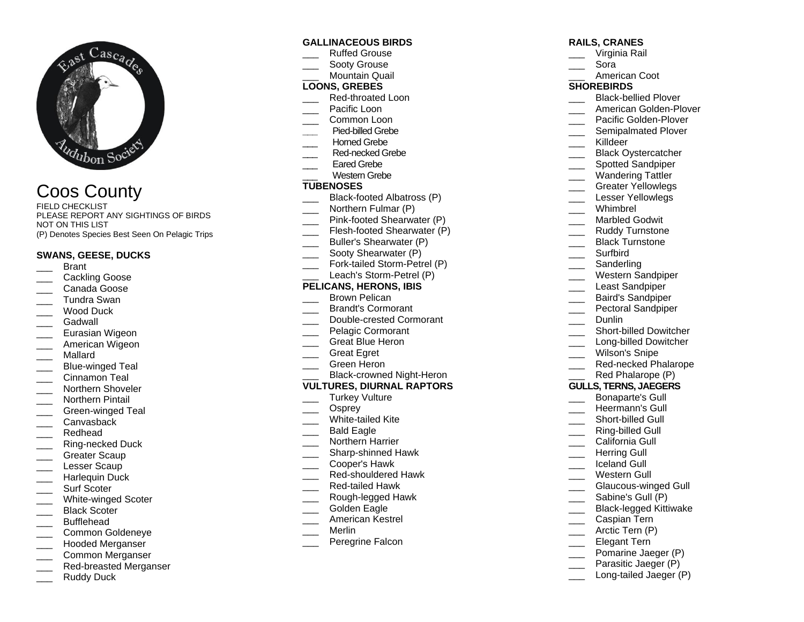

# Coos County

FIELD CHECKLIST PLEASE REPORT ANY SIGHTINGS OF BIRDS NOT ON THIS LIST (P) Denotes Species Best Seen On Pelagic Trips

## **SWANS, GEESE, DUCKS**

- \_\_\_ Brant
- Cackling Goose
- \_\_\_ Canada Goose
- \_\_\_ Tundra Swan
- \_\_\_ Wood Duck
- Gadwall
- Eurasian Wigeon
- American Wigeon
- \_\_\_ Mallard
- Blue-winged Teal
- \_\_\_ Cinnamon Teal
- Northern Shoveler
- Northern Pintail
- Green-winged Teal
- Canvasback
- Redhead
- \_\_\_ Ring-necked Duck
- Greater Scaup
- Lesser Scaup
- Harlequin Duck
- Surf Scoter
- White-winged Scoter
- Black Scoter
- \_\_\_ Bufflehead
- \_\_\_ Common Goldeneye
- Hooded Merganser
- \_\_\_ Common Merganser
- Red-breasted Merganser
- Ruddy Duck

#### **GALLINACEOUS BIRDS**

- Ruffed Grouse
- Sooty Grouse
- Mountain Quail

## **LOONS, GREBES**

- Red-throated Loon
- Pacific Loon
- Common Loon
- **\_\_\_** Pied-billed Grebe
- Horned Grebe
- Red-necked Grebe
- Eared Grebe
- Western Grebe

# **TUBENOSES**

- Black-footed Albatross (P)
- Northern Fulmar (P)
- Pink-footed Shearwater (P)
- Flesh-footed Shearwater (P)
- \_\_\_ Buller's Shearwater (P)
- Sooty Shearwater (P)
- Fork-tailed Storm-Petrel (P)
- Leach's Storm-Petrel (P)

### **PELICANS, HERONS, IBIS**

- Brown Pelican
- \_\_\_ Brandt's Cormorant
- Double-crested Cormorant
- \_\_\_ Pelagic Cormorant
- Great Blue Heron
- \_\_\_ Great Egret
- \_\_\_ Green Heron
- Black-crowned Night-Heron

#### **VULTURES, DIURNAL RAPTORS**

- Turkey Vulture
- Osprey
- White-tailed Kite
- Bald Eagle
- Northern Harrier
- Sharp-shinned Hawk
- \_\_\_ Cooper's Hawk
- Red-shouldered Hawk
- \_\_\_ Red-tailed Hawk
- \_\_\_ Rough-legged Hawk
- Golden Eagle
- \_\_\_ American Kestrel
- \_\_\_ Merlin
- Peregrine Falcon

# **RAILS, CRANES**

- \_\_\_ Virginia Rail
- \_\_\_ Sora
	- American Coot

#### **SHOREBIRDS**

- \_\_\_ Black-bellied Plover American Golden-Plover
- Pacific Golden-Plover
- Semipalmated Plover
- Killdeer
- 
- Black Oystercatcher
- Spotted Sandpiper
- Wandering Tattler
- Greater Yellowlegs
- Lesser Yellowlegs
- \_\_\_ Whimbrel
- Marbled Godwit
- Ruddy Turnstone
- Black Turnstone

Western Sandpiper Least Sandpiper Baird's Sandpiper Pectoral Sandpiper

\_\_\_\_ Short-billed Dowitcher Long-billed Dowitcher Wilson's Snipe \_\_\_ Red-necked Phalarope Red Phalarope (P) **GULLS, TERNS, JAEGERS** \_\_\_ Bonaparte's Gull Heermann's Gull Short-billed Gull \_\_\_ Ring-billed Gull California Gull Herring Gull \_\_\_ Iceland Gull Western Gull

Glaucous-winged Gull

Black-legged Kittiwake

Pomarine Jaeger (P) Parasitic Jaeger (P) Long-tailed Jaeger (P)

\_\_\_ Sabine's Gull (P)

Caspian Tern Arctic Tern (P) Elegant Tern

\_\_\_ Surfbird

Dunlin

Sanderling